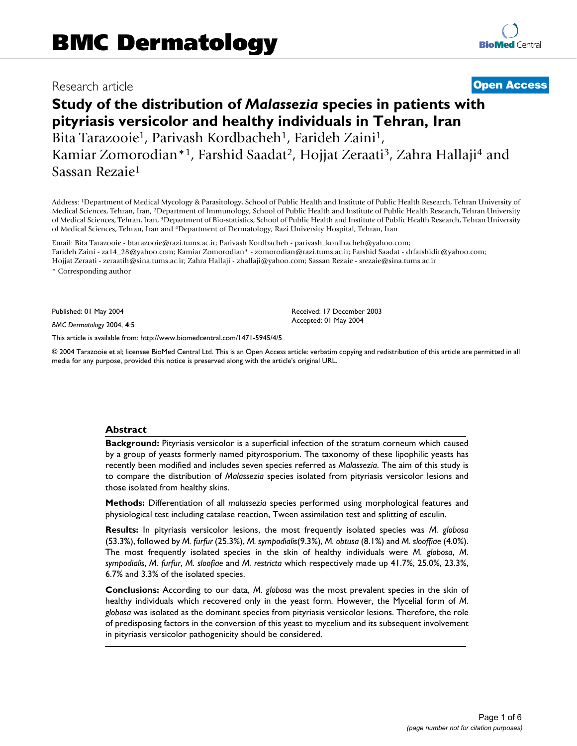# Research article **[Open Access](http://www.biomedcentral.com/info/about/charter/)**

# **Study of the distribution of** *Malassezia* **species in patients with pityriasis versicolor and healthy individuals in Tehran, Iran** Bita Tarazooie<sup>1</sup>, Parivash Kordbacheh<sup>1</sup>, Farideh Zaini<sup>1</sup>, Kamiar Zomorodian\*<sup>1</sup>, Farshid Saadat<sup>2</sup>, Hojjat Zeraati<sup>3</sup>, Zahra Hallaji<sup>4</sup> and Sassan Rezaie1

Address: 1Department of Medical Mycology & Parasitology, School of Public Health and Institute of Public Health Research, Tehran University of Medical Sciences, Tehran, Iran, 2Department of Immunology, School of Public Health and Institute of Public Health Research, Tehran University of Medical Sciences, Tehran, Iran, 3Department of Bio-statistics, School of Public Health and Institute of Public Health Research, Tehran University of Medical Sciences, Tehran, Iran and 4Department of Dermatology, Razi University Hospital, Tehran, Iran

Email: Bita Tarazooie - btarazooie@razi.tums.ac.ir; Parivash Kordbacheh - parivash\_kordbacheh@yahoo.com; Farideh Zaini - za14\_28@yahoo.com; Kamiar Zomorodian\* - zomorodian@razi.tums.ac.ir; Farshid Saadat - drfarshidir@yahoo.com; Hojjat Zeraati - zeraatih@sina.tums.ac.ir; Zahra Hallaji - zhallaji@yahoo.com; Sassan Rezaie - srezaie@sina.tums.ac.ir

\* Corresponding author

Published: 01 May 2004

*BMC Dermatology* 2004, **4**:5

[This article is available from: http://www.biomedcentral.com/1471-5945/4/5](http://www.biomedcentral.com/1471-5945/4/5)

© 2004 Tarazooie et al; licensee BioMed Central Ltd. This is an Open Access article: verbatim copying and redistribution of this article are permitted in all media for any purpose, provided this notice is preserved along with the article's original URL.

Received: 17 December 2003 Accepted: 01 May 2004

#### **Abstract**

**Background:** Pityriasis versicolor is a superficial infection of the stratum corneum which caused by a group of yeasts formerly named pityrosporium. The taxonomy of these lipophilic yeasts has recently been modified and includes seven species referred as *Malassezia*. The aim of this study is to compare the distribution of *Malassezia* species isolated from pityriasis versicolor lesions and those isolated from healthy skins.

**Methods:** Differentiation of all *malassezia* species performed using morphological features and physiological test including catalase reaction, Tween assimilation test and splitting of esculin.

**Results:** In pityriasis versicolor lesions, the most frequently isolated species was *M. globosa* (53.3%), followed by *M. furfur* (25.3%), *M. sympodialis*(9.3%), *M. obtusa* (8.1%) and *M. slooffiae* (4.0%). The most frequently isolated species in the skin of healthy individuals were *M. globosa*, *M. sympodialis*, *M. furfur*, *M. sloofiae* and *M. restricta* which respectively made up 41.7%, 25.0%, 23.3%, 6.7% and 3.3% of the isolated species.

**Conclusions:** According to our data, *M. globosa* was the most prevalent species in the skin of healthy individuals which recovered only in the yeast form. However, the Mycelial form of *M. globosa* was isolated as the dominant species from pityriasis versicolor lesions. Therefore, the role of predisposing factors in the conversion of this yeast to mycelium and its subsequent involvement in pityriasis versicolor pathogenicity should be considered.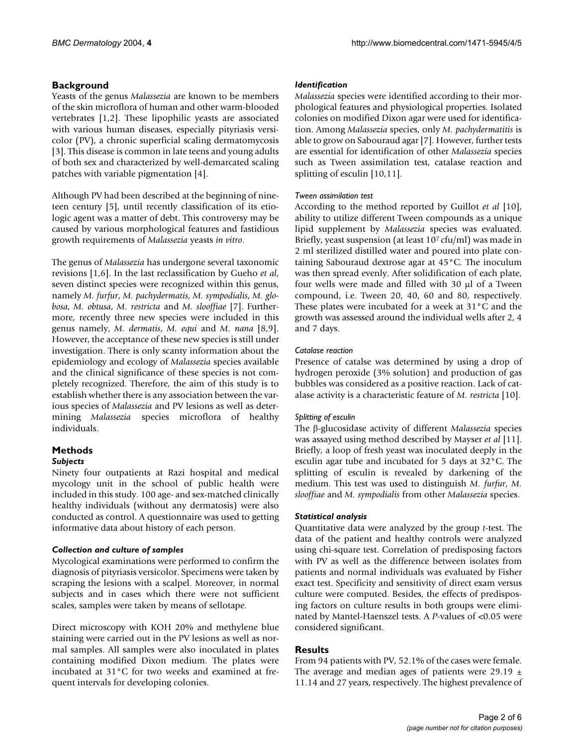# **Background**

Yeasts of the genus *Malassezia* are known to be members of the skin microflora of human and other warm-blooded vertebrates [1[,2\]](#page-5-0). These lipophilic yeasts are associated with various human diseases, especially pityriasis versicolor (PV), a chronic superficial scaling dermatomycosis [3]. This disease is common in late teens and young adults of both sex and characterized by well-demarcated scaling patches with variable pigmentation [4].

Although PV had been described at the beginning of nineteen century [5], until recently classification of its etiologic agent was a matter of debt. This controversy may be caused by various morphological features and fastidious growth requirements of *Malassezia* yeasts *in vitro*.

The genus of *Malassezia* has undergone several taxonomic revisions [1,6]. In the last reclassification by Gueho *et al*, seven distinct species were recognized within this genus, namely *M. furfur*, *M. pachydermatis*, *M. sympodialis*, *M. globosa*, *M. obtusa*, *M. restricta* and *M. slooffiae* [\[7\]](#page-5-1). Furthermore, recently three new species were included in this genus namely, *M. dermatis*, *M. equi* and *M. nana* [[8](#page-5-2),[9](#page-5-3)]. However, the acceptance of these new species is still under investigation. There is only scanty information about the epidemiology and ecology of *Malassezia* species available and the clinical significance of these species is not completely recognized. Therefore, the aim of this study is to establish whether there is any association between the various species of *Malassezia* and PV lesions as well as determining *Malassezia* species microflora of healthy individuals.

#### **Methods** *Subjects*

Ninety four outpatients at Razi hospital and medical mycology unit in the school of public health were included in this study. 100 age- and sex-matched clinically healthy individuals (without any dermatosis) were also conducted as control. A questionnaire was used to getting informative data about history of each person.

# *Collection and culture of samples*

Mycological examinations were performed to confirm the diagnosis of pityriasis versicolor. Specimens were taken by scraping the lesions with a scalpel. Moreover, in normal subjects and in cases which there were not sufficient scales, samples were taken by means of sellotape.

Direct microscopy with KOH 20% and methylene blue staining were carried out in the PV lesions as well as normal samples. All samples were also inoculated in plates containing modified Dixon medium. The plates were incubated at 31°C for two weeks and examined at frequent intervals for developing colonies.

# *Identification*

*Malassezia* species were identified according to their morphological features and physiological properties. Isolated colonies on modified Dixon agar were used for identification. Among *Malassezia* species, only *M. pachydermatitis* is able to grow on Sabouraud agar [[7](#page-5-1)]. However, further tests are essential for identification of other *Malassezia* species such as Tween assimilation test, catalase reaction and splitting of esculin [10,11].

#### *Tween assimilation test*

According to the method reported by Guillot *et al* [10], ability to utilize different Tween compounds as a unique lipid supplement by *Malassezia* species was evaluated. Briefly, yeast suspension (at least 107 cfu/ml) was made in 2 ml sterilized distilled water and poured into plate containing Sabouraud dextrose agar at 45°C. The inoculum was then spread evenly. After solidification of each plate, four wells were made and filled with 30 µl of a Tween compound, i.e. Tween 20, 40, 60 and 80, respectively. These plates were incubated for a week at 31°C and the growth was assessed around the individual wells after 2, 4 and 7 days.

#### *Catalase reaction*

Presence of catalse was determined by using a drop of hydrogen peroxide (3% solution) and production of gas bubbles was considered as a positive reaction. Lack of catalase activity is a characteristic feature of *M. restricta* [10].

# *Splitting of esculin*

The β-glucosidase activity of different *Malassezia* species was assayed using method described by Mayser *et al* [11]. Briefly, a loop of fresh yeast was inoculated deeply in the esculin agar tube and incubated for 5 days at 32°C. The splitting of esculin is revealed by darkening of the medium. This test was used to distinguish *M. furfur*, *M. slooffiae* and *M. sympodialis* from other *Malassezia* species.

# *Statistical analysis*

Quantitative data were analyzed by the group *t*-test. The data of the patient and healthy controls were analyzed using chi-square test. Correlation of predisposing factors with PV as well as the difference between isolates from patients and normal individuals was evaluated by Fisher exact test. Specificity and sensitivity of direct exam versus culture were computed. Besides, the effects of predisposing factors on culture results in both groups were eliminated by Mantel-Haenszel tests. A *P*-values of <0.05 were considered significant.

# **Results**

From 94 patients with PV, 52.1% of the cases were female. The average and median ages of patients were 29.19  $\pm$ 11.14 and 27 years, respectively. The highest prevalence of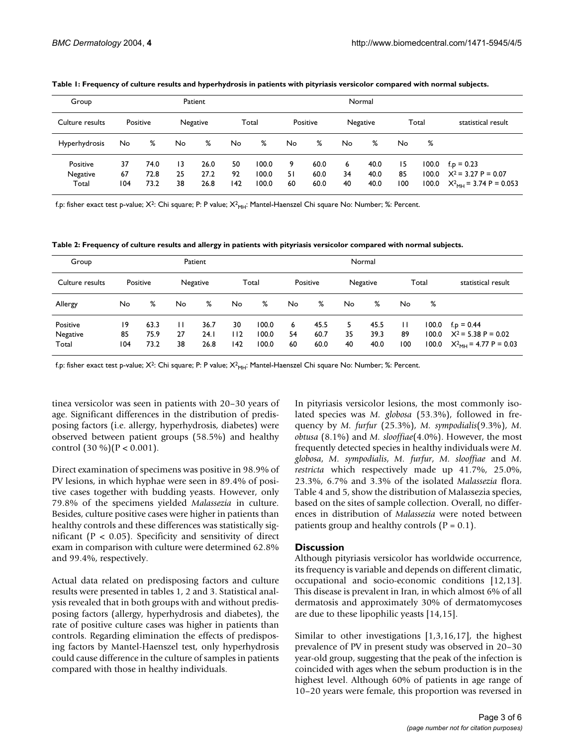| Group                         |                 |                      |                | Patient              |                 |                         |               |                      |               | Normal               |                 |       |                                                                                                   |
|-------------------------------|-----------------|----------------------|----------------|----------------------|-----------------|-------------------------|---------------|----------------------|---------------|----------------------|-----------------|-------|---------------------------------------------------------------------------------------------------|
| Culture results               |                 | Positive             |                | Negative             |                 | Total                   |               | Positive             |               | Negative             |                 | Total | statistical result                                                                                |
| Hyperhydrosis                 | No.             | %                    | No.            | %                    | No              | %                       | No            | %                    | No            | %                    | No.             | %     |                                                                                                   |
| Positive<br>Negative<br>Total | 37<br>67<br>104 | 74.0<br>72.8<br>73.2 | 13<br>25<br>38 | 26.0<br>27.2<br>26.8 | 50<br>92<br>142 | 100.0<br>100.0<br>100.0 | 9<br>51<br>60 | 60.0<br>60.0<br>60.0 | 6<br>34<br>40 | 40.0<br>40.0<br>40.0 | 15<br>85<br>100 |       | $100.0$ f.p = 0.23<br>$100.0$ $X^2 = 3.27$ P = 0.07<br>100.0 $X^2$ <sub>MH</sub> = 3.74 P = 0.053 |

<span id="page-2-0"></span>**Table 1: Frequency of culture results and hyperhydrosis in patients with pityriasis versicolor compared with normal subjects.**

f.p: fisher exact test p-value; X<sup>2</sup>: Chi square; P: P value; X<sup>2</sup><sub>MH</sub>: Mantel-Haenszel Chi square No: Number; %: Percent.

<span id="page-2-1"></span>**Table 2: Frequency of culture results and allergy in patients with pityriasis versicolor compared with normal subjects.**

| Group                         |                 |                      |               | Patient              |                  |                         |               |                      |               | Normal               |                           |                         |                                                                                       |
|-------------------------------|-----------------|----------------------|---------------|----------------------|------------------|-------------------------|---------------|----------------------|---------------|----------------------|---------------------------|-------------------------|---------------------------------------------------------------------------------------|
| Culture results               |                 | Positive             |               | Negative             |                  | Total                   |               | Positive             |               | Negative             |                           | Total                   | statistical result                                                                    |
| Allergy                       | No              | %                    | No            | %                    | No               | %                       | No            | %                    | No            | %                    | No                        | %                       |                                                                                       |
| Positive<br>Negative<br>Total | 19<br>85<br>104 | 63.3<br>75.9<br>73.2 | П<br>27<br>38 | 36.7<br>24.1<br>26.8 | 30<br>112<br>142 | 100.0<br>100.0<br>100.0 | 6<br>54<br>60 | 45.5<br>60.7<br>60.0 | 5<br>35<br>40 | 45.5<br>39.3<br>40.0 | $\mathbf{H}$<br>89<br>100 | 100.0<br>100.0<br>100.0 | $f_{\text{p}} = 0.44$<br>$X^2$ = 5.38 P = 0.02<br>$X^2$ <sub>MH</sub> = 4.77 P = 0.03 |

f.p: fisher exact test p-value; X<sup>2</sup>: Chi square; P: P value; X<sup>2</sup><sub>MH</sub>: Mantel-Haenszel Chi square No: Number; %: Percent.

tinea versicolor was seen in patients with 20–30 years of age. Significant differences in the distribution of predisposing factors (i.e. allergy, hyperhydrosis, diabetes) were observed between patient groups (58.5%) and healthy control  $(30\%)(P < 0.001)$ .

Direct examination of specimens was positive in 98.9% of PV lesions, in which hyphae were seen in 89.4% of positive cases together with budding yeasts. However, only 79.8% of the specimens yielded *Malassezia* in culture. Besides, culture positive cases were higher in patients than healthy controls and these differences was statistically significant ( $P < 0.05$ ). Specificity and sensitivity of direct exam in comparison with culture were determined 62.8% and 99.4%, respectively.

Actual data related on predisposing factors and culture results were presented in tables [1](#page-2-0), [2](#page-2-1) and [3](#page-3-0). Statistical analysis revealed that in both groups with and without predisposing factors (allergy, hyperhydrosis and diabetes), the rate of positive culture cases was higher in patients than controls. Regarding elimination the effects of predisposing factors by Mantel-Haenszel test, only hyperhydrosis could cause difference in the culture of samples in patients compared with those in healthy individuals.

In pityriasis versicolor lesions, the most commonly isolated species was *M. globosa* (53.3%), followed in frequency by *M. furfur* (25.3%), *M. sympodialis*(9.3%), *M. obtusa* (8.1%) and *M. slooffiae*(4.0%). However, the most frequently detected species in healthy individuals were *M. globosa*, *M. sympodialis*, *M. furfur*, *M. slooffiae* and *M. restricta* which respectively made up 41.7%, 25.0%, 23.3%, 6.7% and 3.3% of the isolated *Malassezia* flora. Table [4](#page-3-1) and [5,](#page-3-2) show the distribution of Mala*s*sezia species, based on the sites of sample collection. Overall, no differences in distribution of *Malassezia* were noted between patients group and healthy controls  $(P = 0.1)$ .

#### **Discussion**

Although pityriasis versicolor has worldwide occurrence, its frequency is variable and depends on different climatic, occupational and socio-economic conditions [12,13]. This disease is prevalent in Iran, in which almost 6% of all dermatosis and approximately 30% of dermatomycoses are due to these lipophilic yeasts [14,15].

Similar to other investigations [1,3,16,17], the highest prevalence of PV in present study was observed in 20–30 year-old group, suggesting that the peak of the infection is coincided with ages when the sebum production is in the highest level. Although 60% of patients in age range of 10–20 years were female, this proportion was reversed in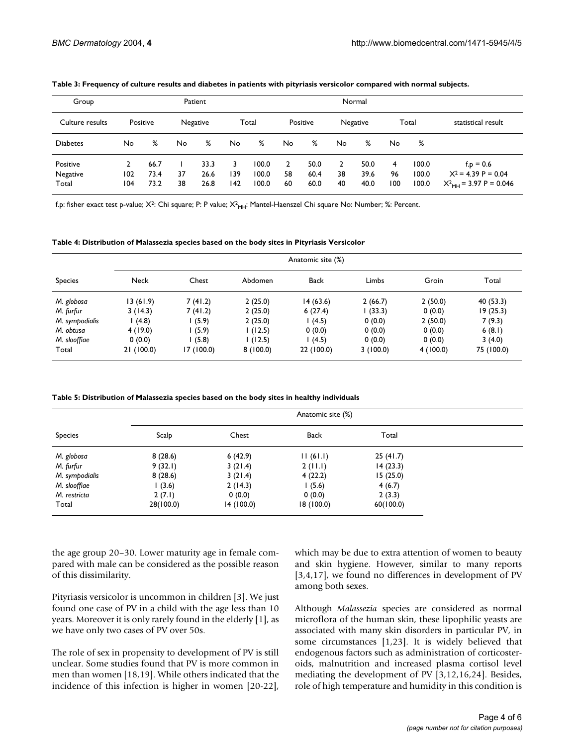| Group                         |            |                      |          | Patient              |                 |                         |                            |                      |                          | Normal               |                |                         |                                                                                       |
|-------------------------------|------------|----------------------|----------|----------------------|-----------------|-------------------------|----------------------------|----------------------|--------------------------|----------------------|----------------|-------------------------|---------------------------------------------------------------------------------------|
| Culture results               |            | Positive             |          | Negative             |                 | Total                   |                            | Positive             |                          | Negative             |                | Total                   | statistical result                                                                    |
| <b>Diabetes</b>               | No.        | %                    | No       | %                    | <b>No</b>       | %                       | No                         | %                    | No                       | %                    | No             | %                       |                                                                                       |
| Positive<br>Negative<br>Total | 102<br>104 | 66.7<br>73.4<br>73.2 | 37<br>38 | 33.3<br>26.6<br>26.8 | 3<br>139<br>142 | 100.0<br>100.0<br>100.0 | $\overline{2}$<br>58<br>60 | 50.0<br>60.4<br>60.0 | $\mathbf{2}$<br>38<br>40 | 50.0<br>39.6<br>40.0 | 4<br>96<br>100 | 100.0<br>100.0<br>100.0 | $f_{\text{p}} = 0.6$<br>$X^2 = 4.39 P = 0.04$<br>$X^2$ <sub>MH</sub> = 3.97 P = 0.046 |

#### <span id="page-3-0"></span>**Table 3: Frequency of culture results and diabetes in patients with pityriasis versicolor compared with normal subjects.**

f.p: fisher exact test p-value; X<sup>2</sup>: Chi square; P: P value; X<sup>2</sup><sub>MH</sub>: Mantel-Haenszel Chi square No: Number; %: Percent.

<span id="page-3-1"></span>**Table 4: Distribution of Malassezia species based on the body sites in Pityriasis Versicolor**

|                |             |            |          | Anatomic site (%) |          |          |            |
|----------------|-------------|------------|----------|-------------------|----------|----------|------------|
| <b>Species</b> | <b>Neck</b> | Chest      | Abdomen  | <b>Back</b>       | Limbs    | Groin    | Total      |
| M. globosa     | 13(61.9)    | 7(41.2)    | 2(25.0)  | 14(63.6)          | 2(66.7)  | 2(50.0)  | 40 (53.3)  |
| M. furfur      | 3(14.3)     | 7(41.2)    | 2(25.0)  | 6(27.4)           | (33.3)   | 0(0.0)   | 19(25.3)   |
| M. sympodialis | (4.8)       | (5.9)      | 2(25.0)  | l (4.5)           | 0(0.0)   | 2(50.0)  | 7(9.3)     |
| M. obtusa      | 4(19.0)     | (5.9)      | 1(12.5)  | 0(0.0)            | 0(0.0)   | 0(0.0)   | 6(8.1)     |
| M. slooffiae   | 0(0.0)      | (5.8)      | 1(12.5)  | (4.5)             | 0(0.0)   | 0(0.0)   | 3(4.0)     |
| Total          | 21(100.0)   | 17 (100.0) | 8(100.0) | 22 (100.0)        | 3(100.0) | 4(100.0) | 75 (100.0) |

<span id="page-3-2"></span>**Table 5: Distribution of Malassezia species based on the body sites in healthy individuals**

|                |           |           | Anatomic site (%) |           |
|----------------|-----------|-----------|-------------------|-----------|
| <b>Species</b> | Scalp     | Chest     | Back              | Total     |
| M. globosa     | 8(28.6)   | 6(42.9)   | 11(61.1)          | 25(41.7)  |
| M. furfur      | 9(32.1)   | 3(21.4)   | 2(11.1)           | 14(23.3)  |
| M. sympodialis | 8(28.6)   | 3(21.4)   | 4(22.2)           | 15(25.0)  |
| M. slooffiae   | (3.6)     | 2(14.3)   | 1(5.6)            | 4(6.7)    |
| M. restricta   | 2(7.1)    | 0(0.0)    | 0(0.0)            | 2(3.3)    |
| Total          | 28(100.0) | 14(100.0) | 18 (100.0)        | 60(100.0) |

the age group 20–30. Lower maturity age in female compared with male can be considered as the possible reason of this dissimilarity.

Pityriasis versicolor is uncommon in children [3]. We just found one case of PV in a child with the age less than 10 years. Moreover it is only rarely found in the elderly [1], as we have only two cases of PV over 50s.

The role of sex in propensity to development of PV is still unclear. Some studies found that PV is more common in men than women [18[,19](#page-5-4)]. While others indicated that the incidence of this infection is higher in women [20-22],

which may be due to extra attention of women to beauty and skin hygiene. However, similar to many reports [3,4,17], we found no differences in development of PV among both sexes.

Although *Malassezia* species are considered as normal microflora of the human skin, these lipophilic yeasts are associated with many skin disorders in particular PV, in some circumstances [1,[23\]](#page-5-5). It is widely believed that endogenous factors such as administration of corticosteroids, malnutrition and increased plasma cortisol level mediating the development of PV [3,12,16,24]. Besides, role of high temperature and humidity in this condition is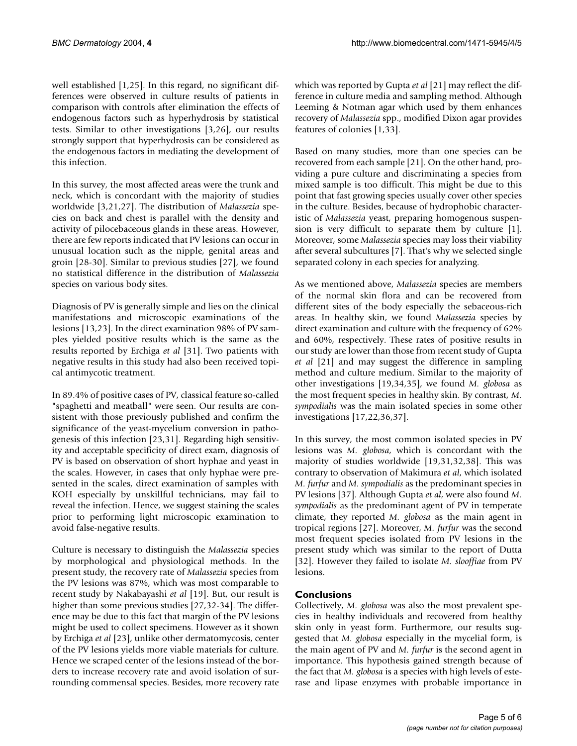well established [1,25]. In this regard, no significant differences were observed in culture results of patients in comparison with controls after elimination the effects of endogenous factors such as hyperhydrosis by statistical tests. Similar to other investigations [3,[26\]](#page-5-6), our results strongly support that hyperhydrosis can be considered as the endogenous factors in mediating the development of this infection.

In this survey, the most affected areas were the trunk and neck, which is concordant with the majority of studies worldwide [3,[21,](#page-5-7)[27](#page-5-8)]. The distribution of *Malassezia* species on back and chest is parallel with the density and activity of pilocebaceous glands in these areas. However, there are few reports indicated that PV lesions can occur in unusual location such as the nipple, genital areas and groin [28-30]. Similar to previous studies [\[27](#page-5-8)], we found no statistical difference in the distribution of *Malassezia* species on various body sites.

Diagnosis of PV is generally simple and lies on the clinical manifestations and microscopic examinations of the lesions [13[,23](#page-5-5)]. In the direct examination 98% of PV samples yielded positive results which is the same as the results reported by Erchiga *et al* [\[31](#page-5-9)]. Two patients with negative results in this study had also been received topical antimycotic treatment.

In 89.4% of positive cases of PV, classical feature so-called "spaghetti and meatball" were seen. Our results are consistent with those previously published and confirm the significance of the yeast-mycelium conversion in pathogenesis of this infection [[23,](#page-5-5)[31\]](#page-5-9). Regarding high sensitivity and acceptable specificity of direct exam, diagnosis of PV is based on observation of short hyphae and yeast in the scales. However, in cases that only hyphae were presented in the scales, direct examination of samples with KOH especially by unskillful technicians, may fail to reveal the infection. Hence, we suggest staining the scales prior to performing light microscopic examination to avoid false-negative results.

Culture is necessary to distinguish the *Malassezia* species by morphological and physiological methods. In the present study, the recovery rate of *Malassezia* species from the PV lesions was 87%, which was most comparable to recent study by Nakabayashi *et al* [[19\]](#page-5-4). But, our result is higher than some previous studies [[27,](#page-5-8)32-[34\]](#page-5-10). The difference may be due to this fact that margin of the PV lesions might be used to collect specimens. However as it shown by Erchiga *et al* [[23\]](#page-5-5), unlike other dermatomycosis, center of the PV lesions yields more viable materials for culture. Hence we scraped center of the lesions instead of the borders to increase recovery rate and avoid isolation of surrounding commensal species. Besides, more recovery rate which was reported by Gupta *et al* [[21](#page-5-7)] may reflect the difference in culture media and sampling method. Although Leeming & Notman agar which used by them enhances recovery of *Malassezia* spp., modified Dixon agar provides features of colonies [1,33].

Based on many studies, more than one species can be recovered from each sample [\[21](#page-5-7)]. On the other hand, providing a pure culture and discriminating a species from mixed sample is too difficult. This might be due to this point that fast growing species usually cover other species in the culture. Besides, because of hydrophobic characteristic of *Malassezia* yeast, preparing homogenous suspension is very difficult to separate them by culture [1]. Moreover, some *Malassezia* species may loss their viability after several subcultures [[7](#page-5-1)]. That's why we selected single separated colony in each species for analyzing.

As we mentioned above, *Malassezia* species are members of the normal skin flora and can be recovered from different sites of the body especially the sebaceous-rich areas. In healthy skin, we found *Malassezia* species by direct examination and culture with the frequency of 62% and 60%, respectively. These rates of positive results in our study are lower than those from recent study of Gupta *et al* [[21](#page-5-7)] and may suggest the difference in sampling method and culture medium. Similar to the majority of other investigations [[19,](#page-5-4)[34](#page-5-10),35], we found *M. globosa* as the most frequent species in healthy skin. By contrast, *M. sympodialis* was the main isolated species in some other investigations [17,22,[36,](#page-5-11)[37\]](#page-5-12).

In this survey, the most common isolated species in PV lesions was *M. globosa*, which is concordant with the majority of studies worldwide [\[19](#page-5-4),[31](#page-5-9),32[,38](#page-5-13)]. This was contrary to observation of Makimura *et al*, which isolated *M. furfur* and *M. sympodialis* as the predominant species in PV lesions [\[37\]](#page-5-12). Although Gupta *et al*, were also found *M. sympodialis* as the predominant agent of PV in temperate climate, they reported *M. globosa* as the main agent in tropical regions [[27\]](#page-5-8). Moreover, *M. furfur* was the second most frequent species isolated from PV lesions in the present study which was similar to the report of Dutta [32]. However they failed to isolate *M. slooffiae* from PV lesions.

# **Conclusions**

Collectively, *M. globosa* was also the most prevalent species in healthy individuals and recovered from healthy skin only in yeast form. Furthermore, our results suggested that *M. globosa* especially in the mycelial form, is the main agent of PV and *M. furfur* is the second agent in importance. This hypothesis gained strength because of the fact that *M. globosa* is a species with high levels of esterase and lipase enzymes with probable importance in